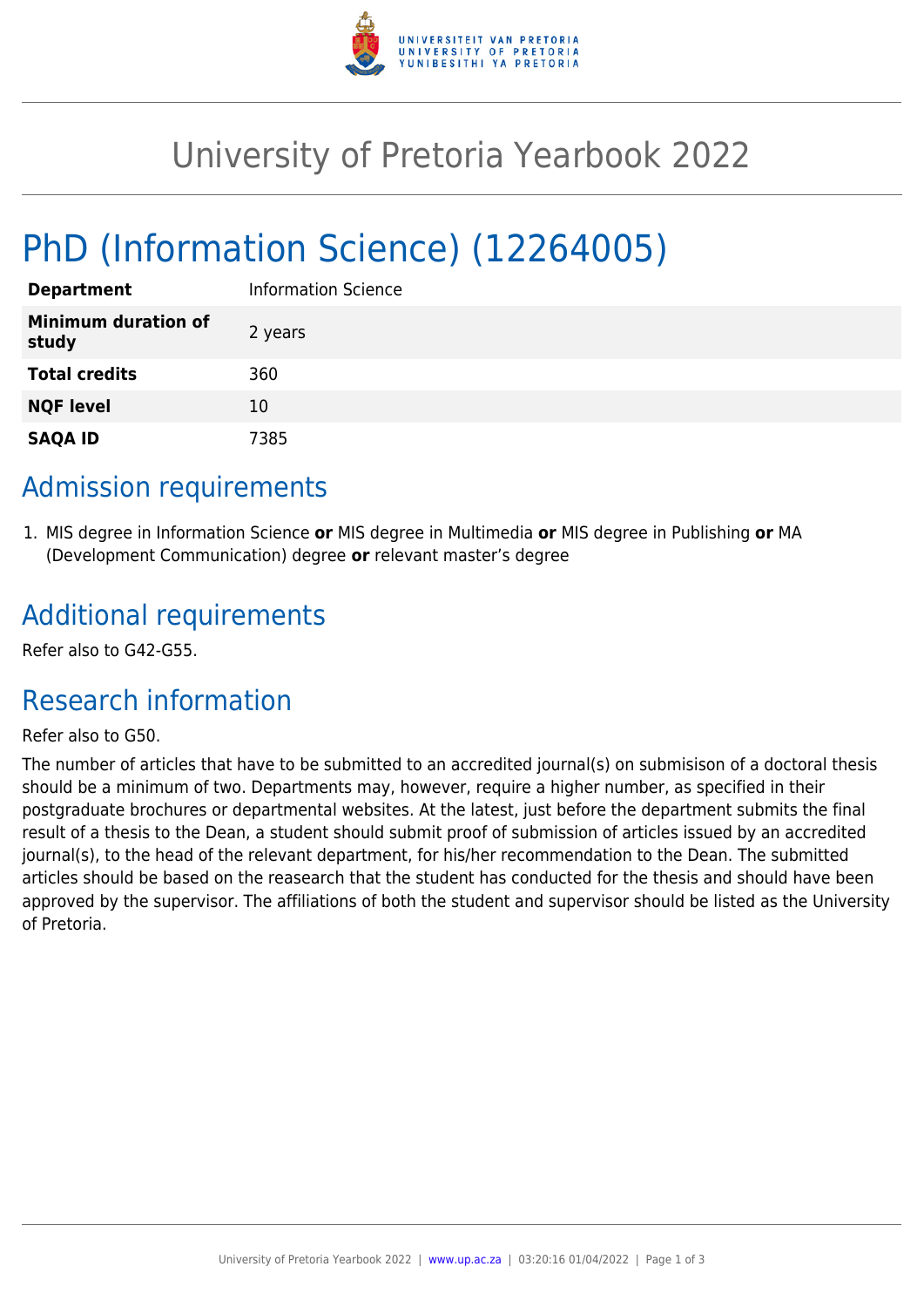

# University of Pretoria Yearbook 2022

# PhD (Information Science) (12264005)

| <b>Department</b>                   | <b>Information Science</b> |
|-------------------------------------|----------------------------|
| <b>Minimum duration of</b><br>study | 2 years                    |
| <b>Total credits</b>                | 360                        |
| <b>NQF level</b>                    | 10                         |
| <b>SAQA ID</b>                      | 7385                       |

### Admission requirements

1. MIS degree in Information Science **or** MIS degree in Multimedia **or** MIS degree in Publishing **or** MA (Development Communication) degree **or** relevant master's degree

### Additional requirements

Refer also to G42-G55.

## Research information

#### Refer also to G50.

The number of articles that have to be submitted to an accredited journal(s) on submisison of a doctoral thesis should be a minimum of two. Departments may, however, require a higher number, as specified in their postgraduate brochures or departmental websites. At the latest, just before the department submits the final result of a thesis to the Dean, a student should submit proof of submission of articles issued by an accredited journal(s), to the head of the relevant department, for his/her recommendation to the Dean. The submitted articles should be based on the reasearch that the student has conducted for the thesis and should have been approved by the supervisor. The affiliations of both the student and supervisor should be listed as the University of Pretoria.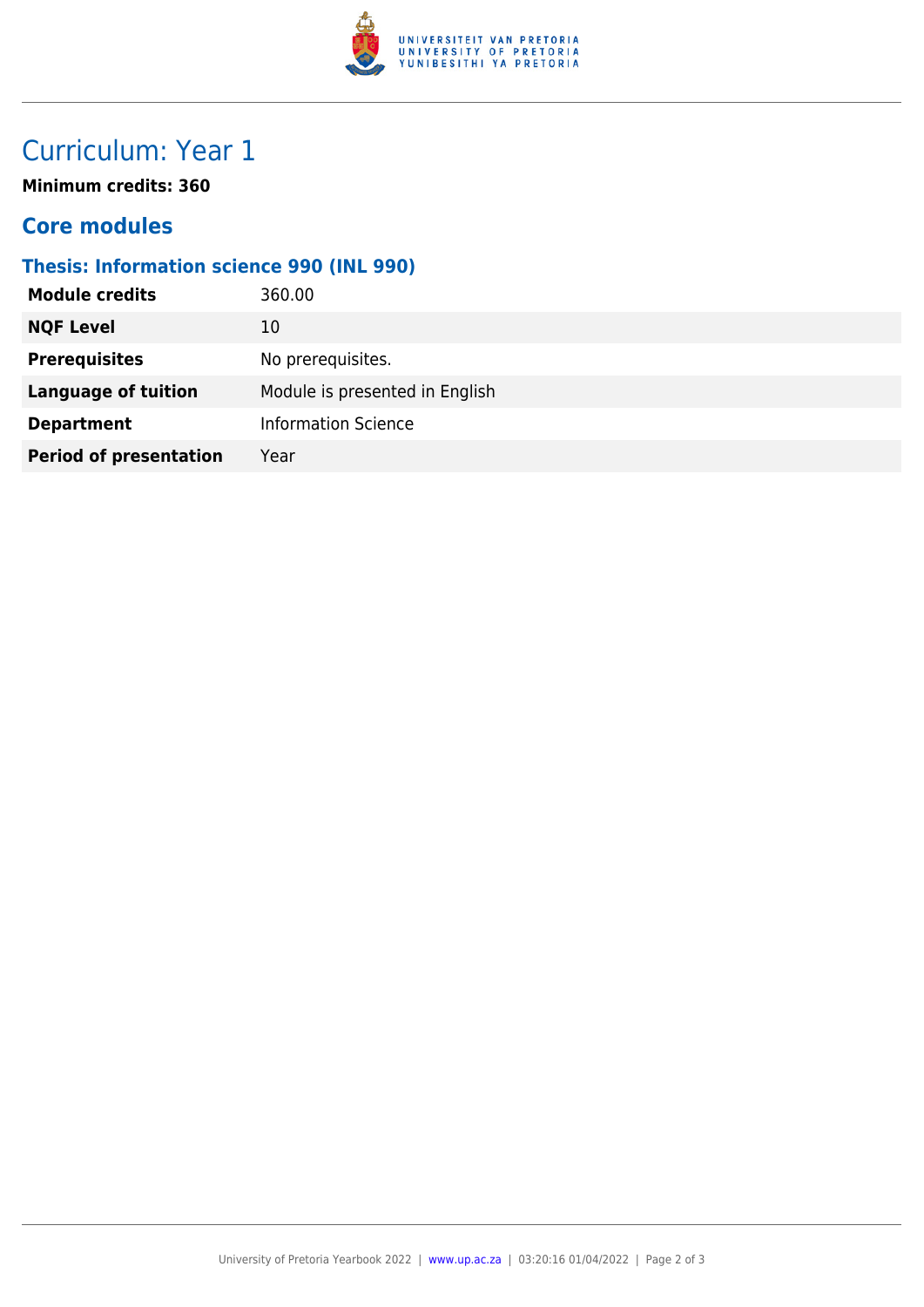

## Curriculum: Year 1

**Minimum credits: 360**

#### **Core modules**

#### **Thesis: Information science 990 (INL 990)**

| <b>Module credits</b>         | 360.00                         |
|-------------------------------|--------------------------------|
| <b>NQF Level</b>              | 10                             |
| <b>Prerequisites</b>          | No prerequisites.              |
| <b>Language of tuition</b>    | Module is presented in English |
| <b>Department</b>             | <b>Information Science</b>     |
| <b>Period of presentation</b> | Year                           |